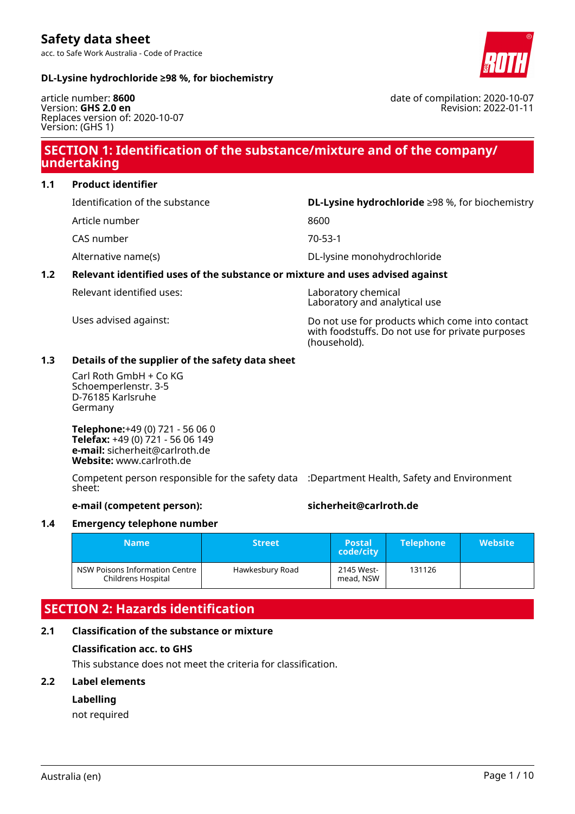acc. to Safe Work Australia - Code of Practice

### **DL-Lysine hydrochloride ≥98 %, for biochemistry**

article number: **8600** Version: **GHS 2.0 en** Replaces version of: 2020-10-07 Version: (GHS 1)

## **SECTION 1: Identification of the substance/mixture and of the company/ undertaking**

**1.1 Product identifier**

Identification of the substance **DL-Lysine hydrochloride** ≥98 %, for biochemistry

- Article number 8600
- CAS number 70-53-1

### Alternative name(s) DL-lysine monohydrochloride

### **1.2 Relevant identified uses of the substance or mixture and uses advised against**

Relevant identified uses: Laboratory chemical

Laboratory and analytical use

Uses advised against: Do not use for products which come into contact with foodstuffs. Do not use for private purposes (household).

### **1.3 Details of the supplier of the safety data sheet**

Carl Roth GmbH + Co KG Schoemperlenstr. 3-5 D-76185 Karlsruhe Germany

**Telephone:**+49 (0) 721 - 56 06 0 **Telefax:** +49 (0) 721 - 56 06 149 **e-mail:** sicherheit@carlroth.de **Website:** www.carlroth.de

Competent person responsible for the safety data :Department Health, Safety and Environment sheet:

### **e-mail (competent person): sicherheit@carlroth.de**

# **1.4 Emergency telephone number**

| Name                                                 | <b>Street</b>   | <b>Postal</b><br>code/city | <b>Telephone</b> | <b>Website</b> |
|------------------------------------------------------|-----------------|----------------------------|------------------|----------------|
| NSW Poisons Information Centre<br>Childrens Hospital | Hawkesbury Road | 2145 West-<br>mead, NSW    | 131126           |                |

# **SECTION 2: Hazards identification**

# **2.1 Classification of the substance or mixture**

# **Classification acc. to GHS**

This substance does not meet the criteria for classification.

### **2.2 Label elements**

### **Labelling**

not required





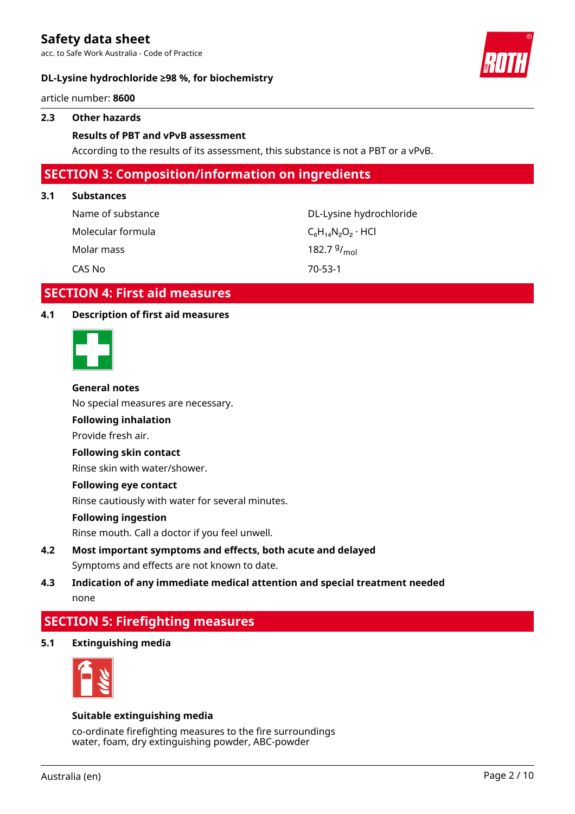acc. to Safe Work Australia - Code of Practice

### **DL-Lysine hydrochloride ≥98 %, for biochemistry**



article number: **8600**

### **2.3 Other hazards**

### **Results of PBT and vPvB assessment**

According to the results of its assessment, this substance is not a PBT or a vPvB.

### **SECTION 3: Composition/information on ingredients**

### **3.1 Substances**

| Name of substance | DL-Lysine hydrochloride     |
|-------------------|-----------------------------|
| Molecular formula | $C_6H_{14}N_2O_2 \cdot HCl$ |
| Molar mass        | 182.7 $9/_{\text{mol}}$     |
| CAS No            | 70-53-1                     |

### **SECTION 4: First aid measures**

### **4.1 Description of first aid measures**



#### **General notes**

No special measures are necessary.

# **Following inhalation**

Provide fresh air.

### **Following skin contact**

Rinse skin with water/shower.

### **Following eye contact**

Rinse cautiously with water for several minutes.

#### **Following ingestion**

Rinse mouth. Call a doctor if you feel unwell.

- **4.2 Most important symptoms and effects, both acute and delayed** Symptoms and effects are not known to date.
- **4.3 Indication of any immediate medical attention and special treatment needed** none

# **SECTION 5: Firefighting measures**

**5.1 Extinguishing media**



### **Suitable extinguishing media**

co-ordinate firefighting measures to the fire surroundings water, foam, dry extinguishing powder, ABC-powder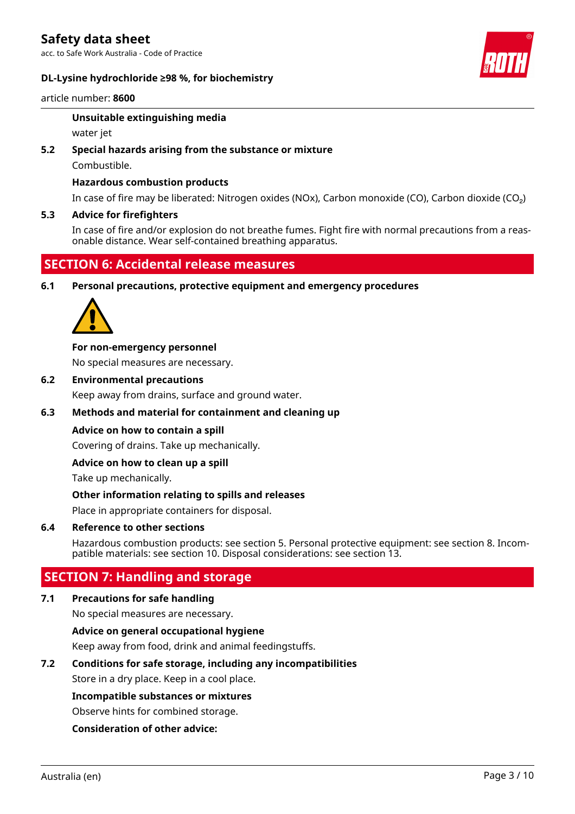acc. to Safe Work Australia - Code of Practice

### **DL-Lysine hydrochloride ≥98 %, for biochemistry**



article number: **8600**

### **Unsuitable extinguishing media**

water jet

### **5.2 Special hazards arising from the substance or mixture**

Combustible.

### **Hazardous combustion products**

In case of fire may be liberated: Nitrogen oxides (NOx), Carbon monoxide (CO), Carbon dioxide (CO₂)

### **5.3 Advice for firefighters**

In case of fire and/or explosion do not breathe fumes. Fight fire with normal precautions from a reasonable distance. Wear self-contained breathing apparatus.

# **SECTION 6: Accidental release measures**

**6.1 Personal precautions, protective equipment and emergency procedures**



### **For non-emergency personnel**

No special measures are necessary.

**6.2 Environmental precautions**

Keep away from drains, surface and ground water.

### **6.3 Methods and material for containment and cleaning up**

### **Advice on how to contain a spill**

Covering of drains. Take up mechanically.

### **Advice on how to clean up a spill**

Take up mechanically.

### **Other information relating to spills and releases**

Place in appropriate containers for disposal.

### **6.4 Reference to other sections**

Hazardous combustion products: see section 5. Personal protective equipment: see section 8. Incompatible materials: see section 10. Disposal considerations: see section 13.

# **SECTION 7: Handling and storage**

### **7.1 Precautions for safe handling**

No special measures are necessary.

### **Advice on general occupational hygiene**

Keep away from food, drink and animal feedingstuffs.

### **7.2 Conditions for safe storage, including any incompatibilities**

Store in a dry place. Keep in a cool place.

### **Incompatible substances or mixtures**

Observe hints for combined storage.

### **Consideration of other advice:**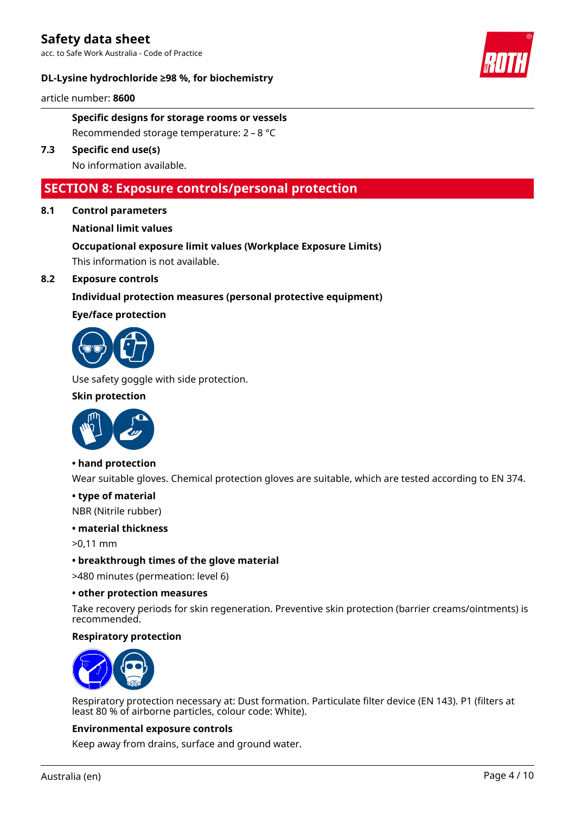acc. to Safe Work Australia - Code of Practice

### **DL-Lysine hydrochloride ≥98 %, for biochemistry**



article number: **8600**

**Specific designs for storage rooms or vessels** Recommended storage temperature: 2 – 8 °C

**7.3 Specific end use(s)** No information available.

## **SECTION 8: Exposure controls/personal protection**

**8.1 Control parameters**

### **National limit values**

# **Occupational exposure limit values (Workplace Exposure Limits)**

This information is not available.

### **8.2 Exposure controls**

### **Individual protection measures (personal protective equipment)**

### **Eye/face protection**



Use safety goggle with side protection.

### **Skin protection**



### **• hand protection**

Wear suitable gloves. Chemical protection gloves are suitable, which are tested according to EN 374.

### **• type of material**

NBR (Nitrile rubber)

#### **• material thickness**

>0,11 mm

### **• breakthrough times of the glove material**

>480 minutes (permeation: level 6)

### **• other protection measures**

Take recovery periods for skin regeneration. Preventive skin protection (barrier creams/ointments) is recommended.

### **Respiratory protection**



Respiratory protection necessary at: Dust formation. Particulate filter device (EN 143). P1 (filters at least 80 % of airborne particles, colour code: White).

### **Environmental exposure controls**

Keep away from drains, surface and ground water.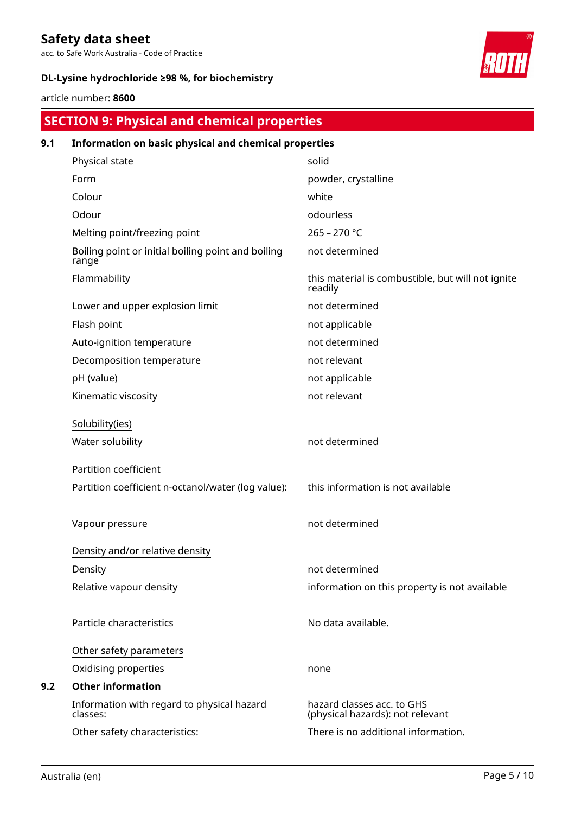acc. to Safe Work Australia - Code of Practice

### **DL-Lysine hydrochloride ≥98 %, for biochemistry**



article number: **8600**

# **SECTION 9: Physical and chemical properties**

| 9.1 | Information on basic physical and chemical properties       |                                                                |
|-----|-------------------------------------------------------------|----------------------------------------------------------------|
|     | Physical state                                              | solid                                                          |
|     | Form                                                        | powder, crystalline                                            |
|     | Colour                                                      | white                                                          |
|     | Odour                                                       | odourless                                                      |
|     | Melting point/freezing point                                | $265 - 270$ °C                                                 |
|     | Boiling point or initial boiling point and boiling<br>range | not determined                                                 |
|     | Flammability                                                | this material is combustible, but will not ignite<br>readily   |
|     | Lower and upper explosion limit                             | not determined                                                 |
|     | Flash point                                                 | not applicable                                                 |
|     | Auto-ignition temperature                                   | not determined                                                 |
|     | Decomposition temperature                                   | not relevant                                                   |
|     | pH (value)                                                  | not applicable                                                 |
|     | Kinematic viscosity                                         | not relevant                                                   |
|     | Solubility(ies)                                             |                                                                |
|     | Water solubility                                            | not determined                                                 |
|     | Partition coefficient                                       |                                                                |
|     | Partition coefficient n-octanol/water (log value):          | this information is not available                              |
|     | Vapour pressure                                             | not determined                                                 |
|     | Density and/or relative density                             |                                                                |
|     | Density                                                     | not determined                                                 |
|     | Relative vapour density                                     | information on this property is not available                  |
|     | Particle characteristics                                    | No data available.                                             |
|     | Other safety parameters                                     |                                                                |
|     | Oxidising properties                                        | none                                                           |
| 9.2 | <b>Other information</b>                                    |                                                                |
|     | Information with regard to physical hazard<br>classes:      | hazard classes acc. to GHS<br>(physical hazards): not relevant |
|     | Other safety characteristics:                               | There is no additional information.                            |
|     |                                                             |                                                                |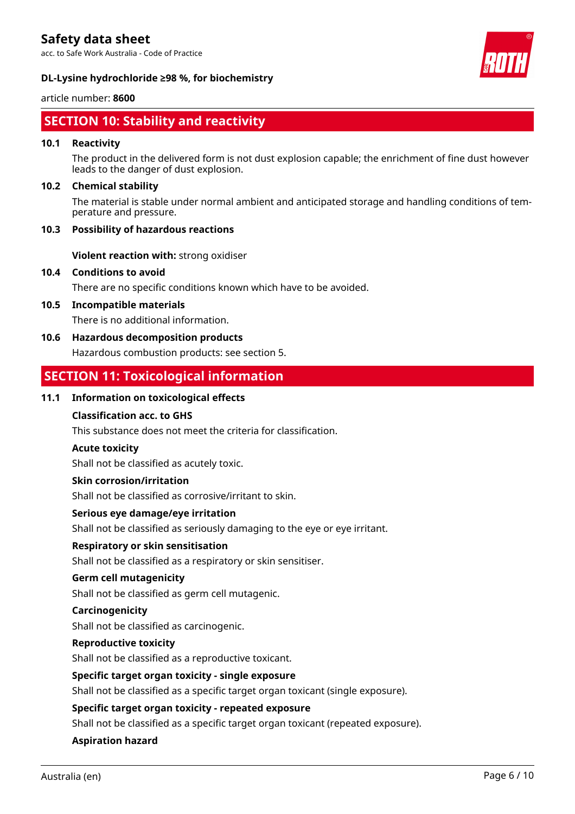acc. to Safe Work Australia - Code of Practice



### **DL-Lysine hydrochloride ≥98 %, for biochemistry**

### article number: **8600**

# **SECTION 10: Stability and reactivity**

### **10.1 Reactivity**

The product in the delivered form is not dust explosion capable; the enrichment of fine dust however leads to the danger of dust explosion.

### **10.2 Chemical stability**

The material is stable under normal ambient and anticipated storage and handling conditions of temperature and pressure.

### **10.3 Possibility of hazardous reactions**

**Violent reaction with:** strong oxidiser

### **10.4 Conditions to avoid**

There are no specific conditions known which have to be avoided.

### **10.5 Incompatible materials**

There is no additional information.

### **10.6 Hazardous decomposition products**

Hazardous combustion products: see section 5.

# **SECTION 11: Toxicological information**

### **11.1 Information on toxicological effects**

### **Classification acc. to GHS**

This substance does not meet the criteria for classification.

### **Acute toxicity**

Shall not be classified as acutely toxic.

### **Skin corrosion/irritation**

Shall not be classified as corrosive/irritant to skin.

### **Serious eye damage/eye irritation**

Shall not be classified as seriously damaging to the eye or eye irritant.

### **Respiratory or skin sensitisation**

Shall not be classified as a respiratory or skin sensitiser.

### **Germ cell mutagenicity**

Shall not be classified as germ cell mutagenic.

### **Carcinogenicity**

Shall not be classified as carcinogenic.

### **Reproductive toxicity**

Shall not be classified as a reproductive toxicant.

#### **Specific target organ toxicity - single exposure**

Shall not be classified as a specific target organ toxicant (single exposure).

#### **Specific target organ toxicity - repeated exposure**

Shall not be classified as a specific target organ toxicant (repeated exposure).

### **Aspiration hazard**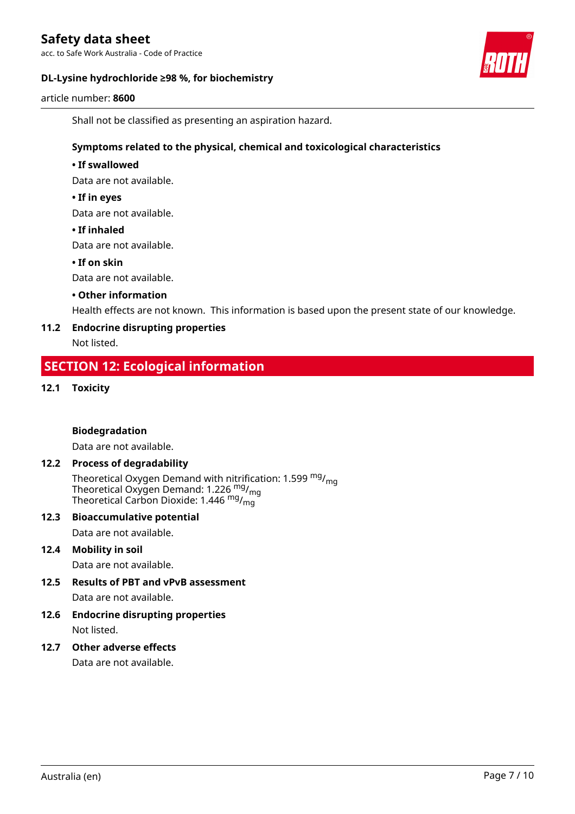acc. to Safe Work Australia - Code of Practice

### **DL-Lysine hydrochloride ≥98 %, for biochemistry**



article number: **8600**

Shall not be classified as presenting an aspiration hazard.

### **Symptoms related to the physical, chemical and toxicological characteristics**

### **• If swallowed**

Data are not available.

### **• If in eyes**

Data are not available.

### **• If inhaled**

Data are not available.

### **• If on skin**

Data are not available.

### **• Other information**

Health effects are not known. This information is based upon the present state of our knowledge.

### **11.2 Endocrine disrupting properties**

Not listed.

# **SECTION 12: Ecological information**

### **12.1 Toxicity**

### **Biodegradation**

Data are not available.

### **12.2 Process of degradability**

Theoretical Oxygen Demand with nitrification: 1.599  $mg/mq$ Theoretical Oxygen Demand: 1.226  $mg/m<sub>g</sub>$ Theoretical Carbon Dioxide: 1.446  $mg/mq$ 

#### **12.3 Bioaccumulative potential**

Data are not available.

### **12.4 Mobility in soil**

Data are not available.

### **12.5 Results of PBT and vPvB assessment**

Data are not available.

**12.6 Endocrine disrupting properties** Not listed.

### **12.7 Other adverse effects**

Data are not available.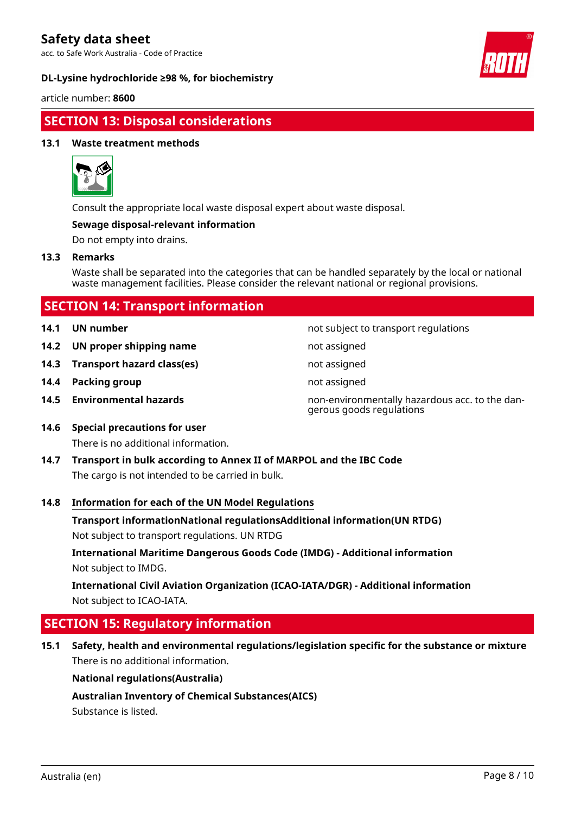acc. to Safe Work Australia - Code of Practice

### **DL-Lysine hydrochloride ≥98 %, for biochemistry**



article number: **8600**

# **SECTION 13: Disposal considerations**

### **13.1 Waste treatment methods**



Consult the appropriate local waste disposal expert about waste disposal.

### **Sewage disposal-relevant information**

Do not empty into drains.

### **13.3 Remarks**

Waste shall be separated into the categories that can be handled separately by the local or national waste management facilities. Please consider the relevant national or regional provisions.

| <b>SECTION 14: Transport information</b> |                |            |
|------------------------------------------|----------------|------------|
|                                          | 14.1 UN number | not subjec |

- **14.2 UN proper shipping name** not assigned
- **14.3 Transport hazard class(es)** not assigned
- **14.4 Packing group not assigned not assigned**
- 

**14.1 UN number** not subject to transport regulations

- 
- 
- 
- **14.5 Environmental hazards** non-environmentally hazardous acc. to the dangerous goods regulations
- **14.6 Special precautions for user** There is no additional information.
- **14.7 Transport in bulk according to Annex II of MARPOL and the IBC Code** The cargo is not intended to be carried in bulk.

### **14.8 Information for each of the UN Model Regulations**

**Transport informationNational regulationsAdditional information(UN RTDG)**

Not subject to transport regulations. UN RTDG

**International Maritime Dangerous Goods Code (IMDG) - Additional information** Not subject to IMDG.

**International Civil Aviation Organization (ICAO-IATA/DGR) - Additional information** Not subject to ICAO-IATA.

# **SECTION 15: Regulatory information**

**15.1 Safety, health and environmental regulations/legislation specific for the substance or mixture** There is no additional information.

### **National regulations(Australia)**

**Australian Inventory of Chemical Substances(AICS)**

Substance is listed.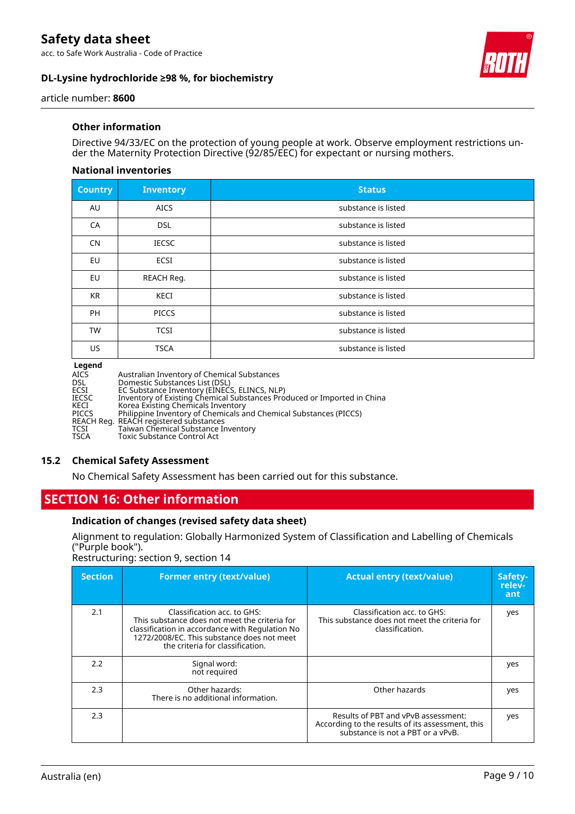acc. to Safe Work Australia - Code of Practice

### **DL-Lysine hydrochloride ≥98 %, for biochemistry**



article number: **8600**

### **Other information**

Directive 94/33/EC on the protection of young people at work. Observe employment restrictions under the Maternity Protection Directive (92/85/EEC) for expectant or nursing mothers.

### **National inventories**

| <b>Country</b> | <b>Inventory</b> | <b>Status</b>       |
|----------------|------------------|---------------------|
| AU             | <b>AICS</b>      | substance is listed |
| CA             | <b>DSL</b>       | substance is listed |
| <b>CN</b>      | <b>IECSC</b>     | substance is listed |
| EU             | <b>ECSI</b>      | substance is listed |
| EU             | REACH Reg.       | substance is listed |
| <b>KR</b>      | KECI             | substance is listed |
| <b>PH</b>      | <b>PICCS</b>     | substance is listed |
| <b>TW</b>      | <b>TCSI</b>      | substance is listed |
| <b>US</b>      | <b>TSCA</b>      | substance is listed |

**Legend**

| <b>AICS</b>  | Australian Inventory of Chemical Substances                             |
|--------------|-------------------------------------------------------------------------|
| <b>DSL</b>   | Domestic Substances List (DSL)                                          |
| ECSI         | EC Substance Inventory (EINECS, ELINCS, NLP)                            |
| <b>IECSC</b> | Inventory of Existing Chemical Substances Produced or Imported in China |
| KECI         | Korea Existing Chemicals Inventory                                      |
| <b>PICCS</b> | Philippine Inventory of Chemicals and Chemical Substances (PICCS)       |
|              | REACH Reg. REACH registered substances                                  |
| <b>TCSI</b>  | Taiwan Chemical Substance Inventory                                     |
| <b>TSCA</b>  | Toxic Substance Control Act                                             |
|              |                                                                         |

### **15.2 Chemical Safety Assessment**

No Chemical Safety Assessment has been carried out for this substance.

# **SECTION 16: Other information**

### **Indication of changes (revised safety data sheet)**

Alignment to regulation: Globally Harmonized System of Classification and Labelling of Chemicals ("Purple book").

Restructuring: section 9, section 14

| <b>Section</b> | <b>Former entry (text/value)</b>                                                                                                                                                                                  | <b>Actual entry (text/value)</b>                                                                                             | Safety-<br>relev-<br>ant |
|----------------|-------------------------------------------------------------------------------------------------------------------------------------------------------------------------------------------------------------------|------------------------------------------------------------------------------------------------------------------------------|--------------------------|
| 2.1            | Classification acc. to GHS:<br>This substance does not meet the criteria for<br>classification in accordance with Regulation No<br>1272/2008/EC. This substance does not meet<br>the criteria for classification. | Classification acc. to GHS:<br>This substance does not meet the criteria for<br>classification.                              | yes                      |
| 2.2            | Signal word:<br>not required                                                                                                                                                                                      |                                                                                                                              | yes                      |
| 2.3            | Other hazards:<br>There is no additional information.                                                                                                                                                             | Other hazards                                                                                                                | yes                      |
| 2.3            |                                                                                                                                                                                                                   | Results of PBT and vPvB assessment:<br>According to the results of its assessment, this<br>substance is not a PBT or a vPvB. | yes                      |